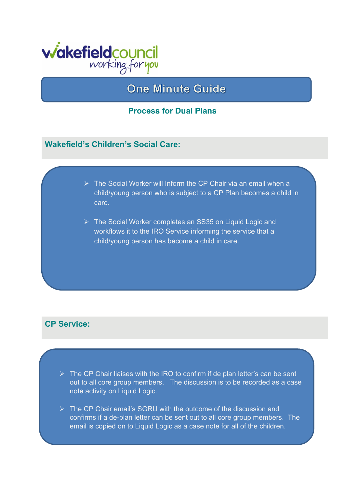

# **One Minute Guide**

#### **Process for Dual Plans**

#### **Wakefield's Children's Social Care:**

- $\triangleright$  The Social Worker will Inform the CP Chair via an email when a child/young person who is subject to a CP Plan becomes a child in care.
- The Social Worker completes an SS35 on Liquid Logic and workflows it to the IRO Service informing the service that a child/young person has become a child in care.

## **CP Service:**

- $\triangleright$  The CP Chair liaises with the IRO to confirm if de plan letter's can be sent out to all core group members. The discussion is to be recorded as a case note activity on Liquid Logic.
- $\triangleright$  The CP Chair email's SGRU with the outcome of the discussion and confirms if a de-plan letter can be sent out to all core group members. The email is copied on to Liquid Logic as a case note for all of the children.